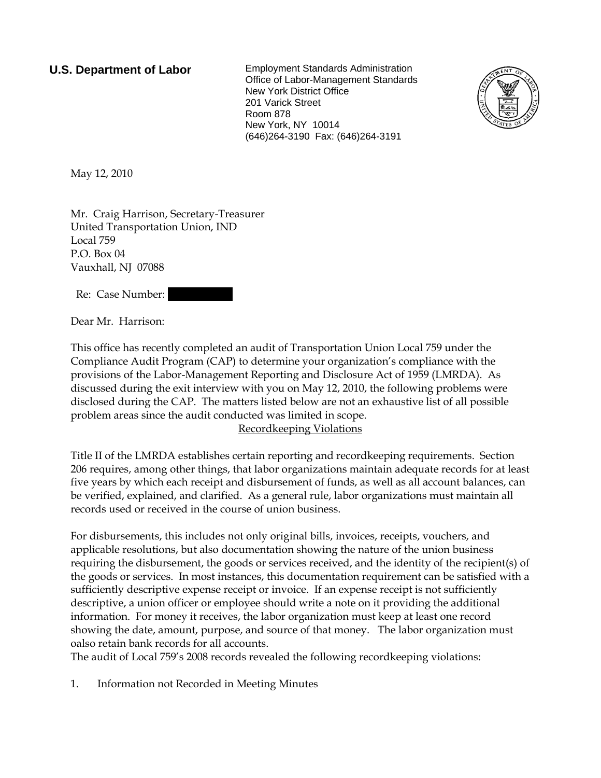**U.S. Department of Labor** Employment Standards Administration Office of Labor-Management Standards New York District Office 201 Varick Street Room 878 New York, NY 10014 (646)264-3190 Fax: (646)264-3191



May 12, 2010

Mr. Craig Harrison, Secretary-Treasurer United Transportation Union, IND Local 759 P.O. Box 04 Vauxhall, NJ 07088

Re: Case Number:

Dear Mr. Harrison:

This office has recently completed an audit of Transportation Union Local 759 under the Compliance Audit Program (CAP) to determine your organization's compliance with the provisions of the Labor-Management Reporting and Disclosure Act of 1959 (LMRDA). As discussed during the exit interview with you on May 12, 2010, the following problems were disclosed during the CAP. The matters listed below are not an exhaustive list of all possible problem areas since the audit conducted was limited in scope.

## Recordkeeping Violations

Title II of the LMRDA establishes certain reporting and recordkeeping requirements. Section 206 requires, among other things, that labor organizations maintain adequate records for at least five years by which each receipt and disbursement of funds, as well as all account balances, can be verified, explained, and clarified. As a general rule, labor organizations must maintain all records used or received in the course of union business.

For disbursements, this includes not only original bills, invoices, receipts, vouchers, and applicable resolutions, but also documentation showing the nature of the union business requiring the disbursement, the goods or services received, and the identity of the recipient(s) of the goods or services. In most instances, this documentation requirement can be satisfied with a sufficiently descriptive expense receipt or invoice. If an expense receipt is not sufficiently descriptive, a union officer or employee should write a note on it providing the additional information. For money it receives, the labor organization must keep at least one record showing the date, amount, purpose, and source of that money. The labor organization must oalso retain bank records for all accounts.

The audit of Local 759's 2008 records revealed the following recordkeeping violations:

1. Information not Recorded in Meeting Minutes